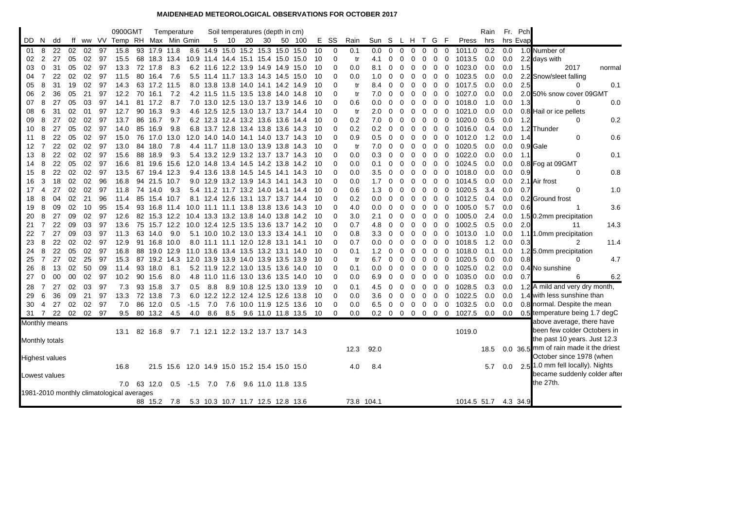## **MAIDENHEAD METEOROLOGICAL OBSERVATIONS FOR OCTOBER 2017**

|                                           |                |          |          |          |          | 0900GMT                    |          |              | Temperature                                  |                                     |           |      | Soil temperatures (depth in cm)   |    |                                                                         |          |             |            |                 |                |              |             |              |              |             |                  | Rain       |            | Fr. Pch  |                                        |
|-------------------------------------------|----------------|----------|----------|----------|----------|----------------------------|----------|--------------|----------------------------------------------|-------------------------------------|-----------|------|-----------------------------------|----|-------------------------------------------------------------------------|----------|-------------|------------|-----------------|----------------|--------------|-------------|--------------|--------------|-------------|------------------|------------|------------|----------|----------------------------------------|
| DD N                                      |                | dd       | ff       |          |          | ww VV Temp RH Max Min Gmin |          |              |                                              |                                     |           | 5 10 | 20                                | 30 | 50 100                                                                  |          | E SS        | Rain       | Sun S L H T G F |                |              |             |              |              |             | Press            | hrs        |            | hrs Evap |                                        |
| 01                                        | 8              | 22       | 02       | 02       | 97       | 15.8                       |          |              | 93 17.9 11.8                                 |                                     |           |      |                                   |    | 8.6 14.9 15.0 15.2 15.3 15.0 15.0                                       | 10       | 0           | 0.1        | 0.0             | $\Omega$       | $\Omega$     | $\Omega$    | 0            | 0            | $\mathbf 0$ | 1011.0           | 0.2        | 0.0        |          | 1.0 Number of                          |
| 02                                        | $\overline{2}$ | 27       | 05       | 02       | 97       | 15.5                       |          |              | 68 18.3 13.4                                 |                                     |           |      |                                   |    | 10.9 11.4 14.4 15.1 15.4 15.0 15.0                                      | 10       | 0           | tr         | 4.1             | 0              | 0            | 0           | 0            | $\mathbf 0$  | 0           | 1013.5           | 0.0        | 0.0        |          | 2.2 days with                          |
| 03                                        | $\mathbf 0$    | 31       | 05       | 02       | 97       | 13.3                       |          | 72 17.8      | 8.3                                          |                                     |           |      |                                   |    | 6.2 11.6 12.2 13.9 14.9 14.9 15.0                                       | 10       | $\Omega$    | 0.0        | 8.1             | 0              | 0            | 0           | 0            | 0            | $\mathbf 0$ | 1023.0           | 0.0        | 0.0        | 1.5      | 2017<br>normal                         |
| 04                                        | 7              | 22       | 02       | 02       | 97       | 11.5                       | 80       | 16.4         | 7.6                                          |                                     |           |      |                                   |    | 5.5 11.4 11.7 13.3 14.3 14.5 15.0                                       | 10       | 0           | 0.0        | 1.0             | 0              | 0            | 0           | 0            | 0            | 0           | 1023.5           | 0.0        | 0.0        |          | 2.2 Snow/sleet falling                 |
| 05                                        | 8              | 31       | 19       | 02       | 97       | 14.3                       |          | 63 17.2 11.5 |                                              |                                     |           |      | 8.0 13.8 13.8 14.0 14.1 14.2 14.9 |    |                                                                         | 10       | $\Omega$    | tr         | 8.4             | $\Omega$       | $\Omega$     | 0           | 0            | $\mathbf 0$  | $\mathbf 0$ | 1017.5           | 0.0        | 0.0        | 2.5      | 0.1<br>0                               |
| 06                                        | 2              | 36       | 05       | 21       | 97       | 12.2                       |          | 70 16.1      | 7.2                                          |                                     |           |      |                                   |    | 4.2 11.5 11.5 13.5 13.8 14.0 14.8                                       | 10       | 0           | tr         | 7.0             | 0              | 0            | 0           | 0            | 0            | 0           | 1027.0           | 0.0        | 0.0        |          | 2.0 50% snow cover 09GMT               |
| 07                                        | 8              | 27       | 05       | 03       | 97       | 14.1                       |          | 81 17.2      | 8.7                                          |                                     |           |      |                                   |    | 7.0 13.0 12.5 13.0 13.7 13.9 14.6                                       | 10       | 0           | 0.6        | 0.0             | 0              | $\Omega$     | 0           | 0            | 0            | 0           | 1018.0           | 1.0        | 0.0        | 1.3      | $\Omega$<br>0.0                        |
| 08                                        | 6              | 31       | 02       | 01       | 97       | 12.7                       |          | 90 16.3      | 9.3                                          |                                     |           |      |                                   |    | 4.6 12.5 12.5 13.0 13.7 13.7 14.4                                       | 10       | $\Omega$    | tr         | 2.0             | $\Omega$       | 0            | $\Omega$    | 0            | 0            | 0           | 1021.0           | 0.0        | 0.0        |          | 0.8 Hail or ice pellets                |
| 09                                        | 8              | 27       | 02       | 02       | 97       | 13.7                       |          | 86 16.7      | 9.7                                          |                                     |           |      |                                   |    | 6.2 12.3 12.4 13.2 13.6 13.6 14.4                                       | 10       | 0           | 0.2        | 7.0             | 0              | 0            | 0           | 0            | 0            | $\mathbf 0$ | 1020.0           | 0.5        | 0.0        | 1.2      | 0.2<br>0                               |
| 10                                        | 8              | 27       | 05       | 02       | 97       | 14.0                       | 85       | 16.9         | 9.8                                          |                                     |           |      |                                   |    | 6.8 13.7 12.8 13.4 13.8 13.6 14.3                                       | 10       | $\Omega$    | 0.2        | 0.2             | 0              | 0            | 0           | 0            | 0            | $\mathbf 0$ | 1016.0           | 0.4        | 0.0        |          | 1.2 Thunder                            |
| 11                                        | 8              | 22       | 05       | 02       | 97       | 15.0                       | 76       |              | 17.0 13.0                                    |                                     | 12.0 14.0 |      |                                   |    | 14.0 14.1 14.0 13.7 14.3                                                | 10       | 0           | 0.9        | 0.5             | 0              | $\Omega$     | 0           | 0            | $\mathbf 0$  | 0           | 1012.0           | 1.2        | 0.0        | 1.4      | 0.6<br>0                               |
| 12                                        | $\overline{7}$ | 22       | 02       | 02       | 97       | 13.0                       |          | 84 18.0      | 7.8                                          |                                     |           |      |                                   |    | 4.4 11.7 11.8 13.0 13.9 13.8 14.3                                       | 10       | $\Omega$    | tr         | 7.0             | 0              | $\Omega$     | 0           | 0            | $\mathbf 0$  | $\mathbf 0$ | 1020.5           | 0.0        | 0.0        |          | 0.9 Gale                               |
| 13                                        | 8              | 22       | 02       | 02       | 97       | 15.6                       |          | 88 18.9      | 9.3                                          |                                     |           |      |                                   |    | 5.4 13.2 12.9 13.2 13.7 13.7 14.3                                       | 10       | $\mathbf 0$ | 0.0        | 0.3             | 0              | 0            | 0           | 0            | $\mathbf 0$  | 0           | 1022.0           | 0.0        | 0.0        | 1.1      | 0.1<br>0                               |
| 14                                        | 8              | 22       | 05       | 02       | 97       | 16.6                       |          |              | 81 19.6 15.6                                 |                                     |           |      |                                   |    | 12.0 14.8 13.4 14.5 14.2 13.8 14.2                                      | 10       | $\Omega$    | 0.0        | 0.1             | 0              | 0            | 0           | 0            | 0            | $\mathbf 0$ | 1024.5           | 0.0        | 0.0        |          | 0.8 Fog at 09GMT                       |
| 15                                        | 8              | 22       | 02       | 02       | 97       | 13.5                       | 67       |              | 19.4 12.3                                    |                                     |           |      | 9.4 13.6 13.8 14.5 14.5           |    | 14.1 14.3                                                               | 10       | 0           | 0.0        | 3.5             | 0              | 0            | $\Omega$    | 0            | 0            | $\mathbf 0$ | 1018.0           | 0.0        | 0.0        | 0.9      | 0.8<br>$\Omega$                        |
| 16                                        | 3              | 18       | 02       | 02       | 96       | 16.8                       |          | 94 21.5 10.7 |                                              |                                     |           |      |                                   |    | 9.0 12.9 13.2 13.9 14.3 14.1 14.3                                       | 10       | 0           | 0.0        | 1.7             | 0              | 0            | 0           | 0            | 0            | $\mathbf 0$ | 1014.5           | 0.0        | 0.0        |          | 2.1 Air frost<br>$\Omega$              |
| 17<br>18                                  | 4<br>8         | 27<br>04 | 02<br>02 | 02<br>21 | 97<br>96 | 11.8<br>11.4               | 74<br>85 | 14.0         | 9.3<br>15.4 10.7                             |                                     |           |      |                                   |    | 5.4 11.2 11.7 13.2 14.0 14.1 14.4                                       | 10<br>10 | 0<br>0      | 0.6<br>0.2 | 1.3<br>0.0      | 0<br>0         | 0<br>0       | 0<br>0      | 0<br>0       | 0<br>0       | 0<br>0      | 1020.5<br>1012.5 | 3.4<br>0.4 | 0.0<br>0.0 | 0.7      | 1.0                                    |
| 19                                        | 8              | 09       | 02       | 10       | 95       | 15.4                       |          |              | 93 16.8 11.4                                 |                                     |           |      |                                   |    | 8.1 12.4 12.6 13.1 13.7 13.7 14.4<br>10.0 11.1 11.1 13.8 13.8 13.6 14.3 | 10       | $\Omega$    | 4.0        | 0.0             | 0              | 0            | 0           | 0            | 0            | $\mathbf 0$ | 1005.0           | 5.7        | 0.0        | 0.6      | 0.2 Ground frost<br>3.6<br>-1          |
| 20                                        | 8              | 27       | 09       | 02       | 97       | 12.6                       |          |              | 82 15.3 12.2                                 |                                     |           |      |                                   |    | 10.4 13.3 13.2 13.8 14.0 13.8 14.2                                      | 10       | 0           | 3.0        | 2.1             | 0              | 0            | 0           | 0            | 0            | $\mathbf 0$ | 1005.0           | 2.4        | 0.0        |          | 1.5 0.2mm precipitation                |
| 21                                        | $\overline{7}$ | 22       | 09       | 03       | 97       | 13.6                       |          |              | 75 15.7 12.2                                 |                                     |           |      |                                   |    | 10.0 12.4 12.5 13.5 13.6 13.7 14.2                                      | 10       | $\Omega$    | 0.7        | 4.8             | 0              | 0            | 0           | 0            | $\mathbf 0$  | $\mathbf 0$ | 1002.5           | 0.5        | 0.0        | 2.0      | 14.3<br>11                             |
| 22                                        | 7              | 27       | 09       | 03       | 97       | 11.3                       | 63       | 14.0         | 9.0                                          |                                     |           |      | 5.1 10.0 10.2 13.0 13.3 13.4 14.1 |    |                                                                         | 10       | 0           | 0.8        | 3.3             | $\Omega$       | $\Omega$     | 0           | 0            | $\mathbf 0$  | $\mathbf 0$ | 1013.0           | 1.0        | 0.0        |          | 1.1 1.0mm precipitation                |
| 23                                        | 8              | 22       | 02       | 02       | 97       | 12.9                       |          |              | 91 16.8 10.0                                 |                                     |           |      | 8.0 11.1 11.1 12.0 12.8 13.1 14.1 |    |                                                                         | 10       | $\mathbf 0$ | 0.7        | 0.0             | 0              | 0            | 0           | 0            | 0            | 0           | 1018.5           | 1.2        | 0.0        | 0.3      | 2<br>11.4                              |
| 24                                        | 8              | 22       | 05       | 02       | 97       | 16.8                       |          |              | 88 19.0 12.9                                 |                                     |           |      |                                   |    | 11.0 13.6 13.4 13.5 13.2 13.1 14.0                                      | 10       | 0           | 0.1        | 1.2             | 0              | 0            | 0           | 0            | 0            | 0           | 1018.0           | 0.1        | 0.0        |          | 1.2 5.0mm precipitation                |
| 25                                        | 7              | 27       | 02       | 25       | 97       | 15.3                       |          |              | 87 19.2 14.3                                 |                                     |           |      |                                   |    | 12.0 13.9 13.9 14.0 13.9 13.5 13.9                                      | 10       | 0           | tr         | 6.7             | 0              | 0            | 0           | 0            | 0            | 0           | 1020.5           | 0.0        | 0.0        | 0.8      | 4.7<br>0                               |
| 26                                        | 8              | 13       | 02       | 50       | 09       | 11.4                       | 93       | 18.0         | 8.1                                          |                                     | 5.2 11.9  |      |                                   |    | 12.2 13.0 13.5 13.6 14.0                                                | 10       | 0           | 0.1        | 0.0             | 0              | 0            | 0           | 0            | 0            | $\mathbf 0$ | 1025.0           | 0.2        | 0.0        |          | 0.4 No sunshine                        |
| 27                                        | 0              | 00       | 00       | 02       | 97       | 10.2                       |          | 90 15.6      | 8.0                                          |                                     |           |      |                                   |    | 4.8 11.0 11.6 13.0 13.6 13.5 14.0                                       | 10       | 0           | 0.0        | 6.9             | 0              | 0            | 0           | 0            | 0            | $\mathbf 0$ | 1035.0           | 0.0        | 0.0        | 0.7      | 6<br>6.2                               |
| 28                                        | $\overline{7}$ | 27       | 02       | 03       | 97       | 7.3                        |          | 93 15.8      | 3.7                                          | 0.5                                 | 8.8       |      |                                   |    | 8.9 10.8 12.5 13.0 13.9                                                 | 10       | 0           | 0.1        | 4.5             | 0              | 0            | 0           | 0            | $\mathbf 0$  | 0           | 1028.5           | 0.3        | 0.0        |          | 1.2 A mild and very dry month,         |
| 29                                        | 6              | 36       | 09       | 21       | 97       | 13.3                       |          | 72 13.8      | 7.3                                          |                                     |           |      |                                   |    | 6.0 12.2 12.2 12.4 12.5 12.6 13.8                                       | 10       | 0           | 0.0        | 3.6             | 0              | 0            | 0           | 0            | $\mathbf{0}$ | $\mathbf 0$ | 1022.5           | 0.0        | 0.0        |          | 1.4 with less sunshine than            |
| 30                                        | -4             | 27       | 02       | 02       | 97       | 7.0                        | 86       | 12.0         | 0.5                                          | $-1.5$                              | 7.0       |      |                                   |    | 7.6 10.0 11.9 12.5 13.6                                                 | 10       | 0           | 0.0        | 6.5             | $\overline{0}$ | $\mathbf{0}$ | $\mathbf 0$ | $\mathbf{0}$ | $0\quad 0$   |             | 1032.5           | 0.0        | 0.0        |          | 0.8 normal. Despite the mean           |
|                                           |                | 31 7 22  | 02       | 02       | 97       | 9.5                        |          | 80 13.2      | 4.5                                          | 4.0                                 | 8.6       |      |                                   |    | 8.5 9.6 11.0 11.8 13.5                                                  | 10       | 0           | 0.0        | 0.2 0 0 0 0 0 0 |                |              |             |              |              |             | 1027.5           | 0.0        | 0.0        |          | 0.5 temperature being 1.7 degC         |
| Monthly means                             |                |          |          |          |          |                            |          |              |                                              |                                     |           |      |                                   |    |                                                                         |          |             |            |                 |                |              |             |              |              |             |                  |            |            |          | above average, there have              |
|                                           |                |          |          |          |          | 13.1                       |          | 82 16.8      | 9.7                                          |                                     |           |      | 7.1 12.1 12.2 13.2 13.7 13.7 14.3 |    |                                                                         |          |             |            |                 |                |              |             |              |              |             | 1019.0           |            |            |          | been few colder Octobers in            |
| Monthly totals                            |                |          |          |          |          |                            |          |              |                                              |                                     |           |      |                                   |    |                                                                         |          |             |            |                 |                |              |             |              |              |             |                  |            |            |          | the past 10 years. Just 12.3           |
|                                           |                |          |          |          |          |                            |          |              |                                              |                                     |           |      |                                   |    |                                                                         |          |             | 12.3       | 92.0            |                |              |             |              |              |             |                  | 18.5       |            |          | 0.0 36.5 mm of rain made it the driest |
| <b>Highest values</b>                     |                |          |          |          |          |                            |          |              |                                              |                                     |           |      |                                   |    |                                                                         |          |             |            |                 |                |              |             |              |              |             |                  |            |            |          | October since 1978 (when               |
|                                           |                |          |          |          |          | 16.8                       |          |              | 21.5 15.6 12.0 14.9 15.0 15.2 15.4 15.0 15.0 |                                     |           |      |                                   |    |                                                                         |          |             | 4.0        | 8.4             |                |              |             |              |              |             |                  | 5.7        |            |          | 0.0 2.5 1.0 mm fell locally). Nights   |
| Lowest values                             |                |          |          |          |          |                            |          |              |                                              |                                     |           |      |                                   |    |                                                                         |          |             |            |                 |                |              |             |              |              |             |                  |            |            |          | became suddenly colder after           |
|                                           |                |          |          |          |          |                            |          | 7.0 63 12.0  |                                              | 0.5 -1.5 7.0 7.6 9.6 11.0 11.8 13.5 |           |      |                                   |    |                                                                         |          |             |            |                 |                |              |             |              |              |             |                  |            |            |          | the 27th.                              |
| 1981-2010 monthly climatological averages |                |          |          |          |          |                            |          |              |                                              |                                     |           |      |                                   |    |                                                                         |          |             |            |                 |                |              |             |              |              |             |                  |            |            |          |                                        |
|                                           |                |          |          |          |          |                            |          |              | 88 15.2 7.8                                  |                                     |           |      |                                   |    | 5.3 10.3 10.7 11.7 12.5 12.8 13.6                                       |          |             | 73.8 104.1 |                 |                |              |             |              |              |             | 1014.5 51.7      |            |            | 4.3 34.9 |                                        |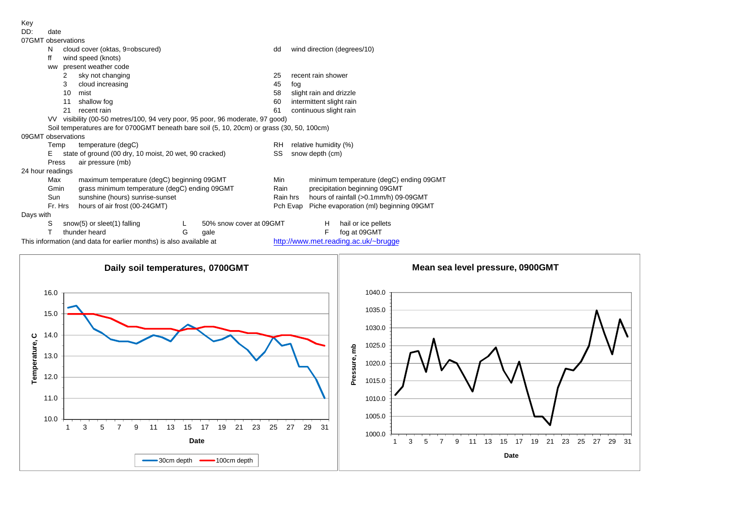## Key

DD: date

|                    | uuw     |                                                                                            |   |                         |          |                                        |                                         |                                      |  |  |  |  |
|--------------------|---------|--------------------------------------------------------------------------------------------|---|-------------------------|----------|----------------------------------------|-----------------------------------------|--------------------------------------|--|--|--|--|
| 07GMT observations |         |                                                                                            |   |                         |          |                                        |                                         |                                      |  |  |  |  |
|                    | N       | cloud cover (oktas, 9=obscured)                                                            |   |                         | dd       |                                        |                                         | wind direction (degrees/10)          |  |  |  |  |
|                    | ff      | wind speed (knots)                                                                         |   |                         |          |                                        |                                         |                                      |  |  |  |  |
|                    | ww      | present weather code                                                                       |   |                         |          |                                        |                                         |                                      |  |  |  |  |
|                    |         | sky not changing<br>2                                                                      |   |                         | 25       |                                        | recent rain shower                      |                                      |  |  |  |  |
|                    |         | 3<br>cloud increasing                                                                      |   |                         | 45       | fog                                    |                                         |                                      |  |  |  |  |
|                    |         | 10<br>mist                                                                                 |   |                         | 58       | slight rain and drizzle                |                                         |                                      |  |  |  |  |
|                    |         | 11<br>shallow fog                                                                          |   |                         | 60       |                                        | intermittent slight rain                |                                      |  |  |  |  |
|                    |         | 21<br>recent rain                                                                          |   |                         | 61       | continuous slight rain                 |                                         |                                      |  |  |  |  |
|                    |         | VV visibility (00-50 metres/100, 94 very poor, 95 poor, 96 moderate, 97 good)              |   |                         |          |                                        |                                         |                                      |  |  |  |  |
|                    |         | Soil temperatures are for 0700GMT beneath bare soil (5, 10, 20cm) or grass (30, 50, 100cm) |   |                         |          |                                        |                                         |                                      |  |  |  |  |
| 09GMT observations |         |                                                                                            |   |                         |          |                                        |                                         |                                      |  |  |  |  |
|                    | Temp    | temperature (degC)                                                                         |   |                         | RH.      | relative humidity (%)                  |                                         |                                      |  |  |  |  |
|                    | Е       | state of ground (00 dry, 10 moist, 20 wet, 90 cracked)                                     |   |                         | SS       | snow depth (cm)                        |                                         |                                      |  |  |  |  |
|                    | Press   | air pressure (mb)                                                                          |   |                         |          |                                        |                                         |                                      |  |  |  |  |
| 24 hour readings   |         |                                                                                            |   |                         |          |                                        |                                         |                                      |  |  |  |  |
|                    | Max     | maximum temperature (degC) beginning 09GMT                                                 |   |                         | Min      |                                        | minimum temperature (degC) ending 09GMT |                                      |  |  |  |  |
|                    | Gmin    | grass minimum temperature (degC) ending 09GMT                                              |   |                         | Rain     |                                        | precipitation beginning 09GMT           |                                      |  |  |  |  |
|                    | Sun     | sunshine (hours) sunrise-sunset                                                            |   | Rain hrs                |          | hours of rainfall (>0.1mm/h) 09-09GMT  |                                         |                                      |  |  |  |  |
|                    | Fr. Hrs | hours of air frost (00-24GMT)                                                              |   |                         | Pch Evap | Piche evaporation (ml) beginning 09GMT |                                         |                                      |  |  |  |  |
| Days with          |         |                                                                                            |   |                         |          |                                        |                                         |                                      |  |  |  |  |
|                    | S       | snow(5) or sleet(1) falling                                                                |   | 50% snow cover at 09GMT |          |                                        | H.                                      | hail or ice pellets                  |  |  |  |  |
|                    |         | thunder heard                                                                              | G | gale                    |          |                                        | F                                       | fog at 09GMT                         |  |  |  |  |
|                    |         | This information (and data for earlier months) is also available at                        |   |                         |          |                                        |                                         | http://www.met.reading.ac.uk/~brugge |  |  |  |  |